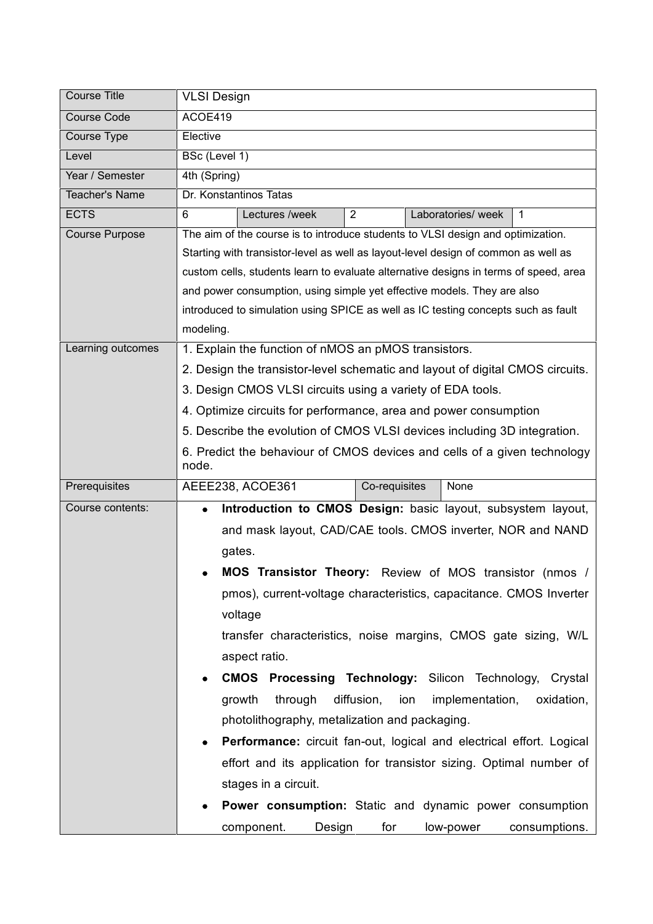| <b>Course Title</b>   | <b>VLSI Design</b>                                                                   |
|-----------------------|--------------------------------------------------------------------------------------|
| <b>Course Code</b>    | ACOE419                                                                              |
| Course Type           | Elective                                                                             |
| Level                 | BSc (Level 1)                                                                        |
| Year / Semester       | 4th (Spring)                                                                         |
| <b>Teacher's Name</b> | Dr. Konstantinos Tatas                                                               |
| <b>ECTS</b>           | Lectures /week<br>Laboratories/ week<br>6<br>$\overline{2}$<br>1                     |
| <b>Course Purpose</b> | The aim of the course is to introduce students to VLSI design and optimization.      |
|                       | Starting with transistor-level as well as layout-level design of common as well as   |
|                       | custom cells, students learn to evaluate alternative designs in terms of speed, area |
|                       | and power consumption, using simple yet effective models. They are also              |
|                       | introduced to simulation using SPICE as well as IC testing concepts such as fault    |
|                       | modeling.                                                                            |
| Learning outcomes     | 1. Explain the function of nMOS an pMOS transistors.                                 |
|                       | 2. Design the transistor-level schematic and layout of digital CMOS circuits.        |
|                       | 3. Design CMOS VLSI circuits using a variety of EDA tools.                           |
|                       | 4. Optimize circuits for performance, area and power consumption                     |
|                       | 5. Describe the evolution of CMOS VLSI devices including 3D integration.             |
|                       | 6. Predict the behaviour of CMOS devices and cells of a given technology             |
|                       | node.                                                                                |
| Prerequisites         | Co-requisites<br>None<br>AEEE238, ACOE361                                            |
| Course contents:      | Introduction to CMOS Design: basic layout, subsystem layout,<br>$\bullet$            |
|                       | and mask layout, CAD/CAE tools. CMOS inverter, NOR and NAND                          |
|                       | gates.                                                                               |
|                       | MOS Transistor Theory: Review of MOS transistor (nmos /                              |
|                       | pmos), current-voltage characteristics, capacitance. CMOS Inverter                   |
|                       | voltage                                                                              |
|                       | transfer characteristics, noise margins, CMOS gate sizing, W/L                       |
|                       | aspect ratio.                                                                        |
|                       |                                                                                      |
|                       | <b>CMOS Processing Technology: Silicon Technology, Crystal</b>                       |
|                       | through<br>diffusion,<br>growth<br>ion<br>implementation,<br>oxidation,              |
|                       | photolithography, metalization and packaging.                                        |
|                       | Performance: circuit fan-out, logical and electrical effort. Logical<br>$\bullet$    |
|                       | effort and its application for transistor sizing. Optimal number of                  |
|                       | stages in a circuit.                                                                 |
|                       | Power consumption: Static and dynamic power consumption                              |
|                       | component.<br>for<br>Design<br>low-power<br>consumptions.                            |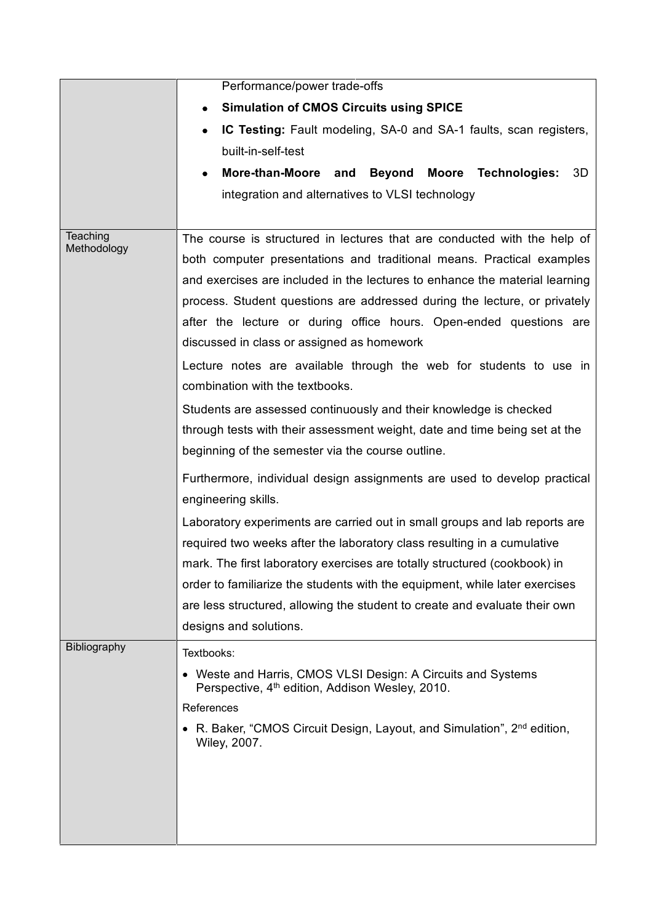|                         | Performance/power trade-offs                                                                                                                                                                                                                                                                                                                                                                                              |
|-------------------------|---------------------------------------------------------------------------------------------------------------------------------------------------------------------------------------------------------------------------------------------------------------------------------------------------------------------------------------------------------------------------------------------------------------------------|
|                         | <b>Simulation of CMOS Circuits using SPICE</b>                                                                                                                                                                                                                                                                                                                                                                            |
|                         | IC Testing: Fault modeling, SA-0 and SA-1 faults, scan registers,<br>٠                                                                                                                                                                                                                                                                                                                                                    |
|                         | built-in-self-test                                                                                                                                                                                                                                                                                                                                                                                                        |
|                         | More-than-Moore and<br>Beyond<br>Moore<br>Technologies:<br>3D                                                                                                                                                                                                                                                                                                                                                             |
|                         | integration and alternatives to VLSI technology                                                                                                                                                                                                                                                                                                                                                                           |
|                         |                                                                                                                                                                                                                                                                                                                                                                                                                           |
| Teaching<br>Methodology | The course is structured in lectures that are conducted with the help of<br>both computer presentations and traditional means. Practical examples<br>and exercises are included in the lectures to enhance the material learning                                                                                                                                                                                          |
|                         | process. Student questions are addressed during the lecture, or privately<br>after the lecture or during office hours. Open-ended questions are<br>discussed in class or assigned as homework                                                                                                                                                                                                                             |
|                         | Lecture notes are available through the web for students to use in<br>combination with the textbooks.                                                                                                                                                                                                                                                                                                                     |
|                         | Students are assessed continuously and their knowledge is checked<br>through tests with their assessment weight, date and time being set at the<br>beginning of the semester via the course outline.                                                                                                                                                                                                                      |
|                         | Furthermore, individual design assignments are used to develop practical<br>engineering skills.                                                                                                                                                                                                                                                                                                                           |
|                         | Laboratory experiments are carried out in small groups and lab reports are<br>required two weeks after the laboratory class resulting in a cumulative<br>mark. The first laboratory exercises are totally structured (cookbook) in<br>order to familiarize the students with the equipment, while later exercises<br>are less structured, allowing the student to create and evaluate their own<br>designs and solutions. |
| Bibliography            | Textbooks:<br>• Weste and Harris, CMOS VLSI Design: A Circuits and Systems<br>Perspective, 4 <sup>th</sup> edition, Addison Wesley, 2010.<br>References<br>• R. Baker, "CMOS Circuit Design, Layout, and Simulation", 2 <sup>nd</sup> edition,                                                                                                                                                                            |
|                         | <b>Wiley, 2007.</b>                                                                                                                                                                                                                                                                                                                                                                                                       |